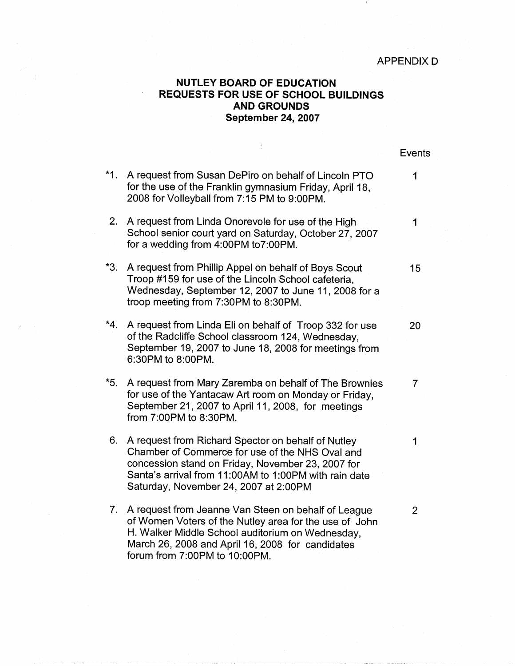APPENDIX D

## **NUTLEY BOARD OF EDUCATION REQUESTS FOR USE OF SCHOOL BUILDINGS AND GROUNDS September 24, 2007**

|       |                                                                                                                                                                                                                                                              | <b>Events</b>  |
|-------|--------------------------------------------------------------------------------------------------------------------------------------------------------------------------------------------------------------------------------------------------------------|----------------|
| $*1.$ | A request from Susan DePiro on behalf of Lincoln PTO<br>for the use of the Franklin gymnasium Friday, April 18,<br>2008 for Volleyball from 7:15 PM to 9:00PM.                                                                                               | 1              |
| 2.    | A request from Linda Onorevole for use of the High<br>School senior court yard on Saturday, October 27, 2007<br>for a wedding from 4:00PM to7:00PM.                                                                                                          | 1              |
| $*3.$ | A request from Phillip Appel on behalf of Boys Scout<br>Troop #159 for use of the Lincoln School cafeteria,<br>Wednesday, September 12, 2007 to June 11, 2008 for a<br>troop meeting from 7:30PM to 8:30PM.                                                  | 15             |
| $*4.$ | A request from Linda Eli on behalf of Troop 332 for use<br>of the Radcliffe School classroom 124, Wednesday,<br>September 19, 2007 to June 18, 2008 for meetings from<br>6:30PM to 8:00PM.                                                                   | 20             |
| $*5.$ | A request from Mary Zaremba on behalf of The Brownies<br>for use of the Yantacaw Art room on Monday or Friday,<br>September 21, 2007 to April 11, 2008, for meetings<br>from 7:00PM to 8:30PM.                                                               | 7              |
| 6.    | A request from Richard Spector on behalf of Nutley<br>Chamber of Commerce for use of the NHS Oval and<br>concession stand on Friday, November 23, 2007 for<br>Santa's arrival from 11:00AM to 1:00PM with rain date<br>Saturday, November 24, 2007 at 2:00PM | 1              |
| 7.    | A request from Jeanne Van Steen on behalf of League<br>of Women Voters of the Nutley area for the use of John<br>H. Walker Middle School auditorium on Wednesday,<br>March 26, 2008 and April 16, 2008 for candidates<br>forum from 7:00PM to 10:00PM.       | $\overline{2}$ |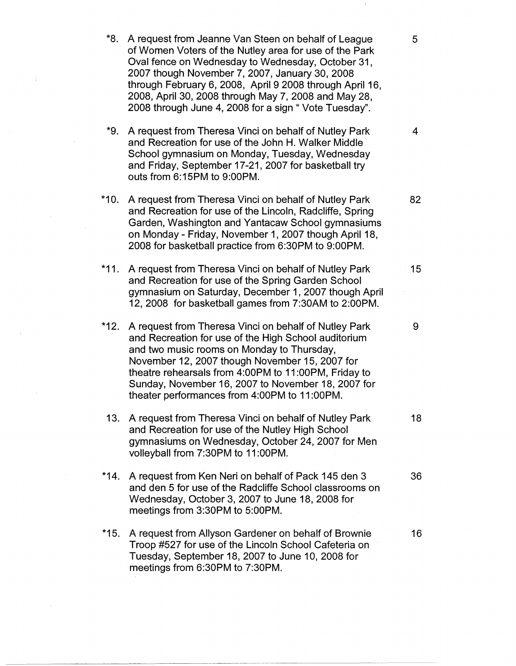- \*8. A request from Jeanne Van Steen on behalf of League 5 of Women Voters of the Nutley area for use of the Park Oval fence on Wednesday to Wednesday, October 31, 2007 though November 7, 2007, January 30, 2008 through February 6, 2008, April 9 2008 through April 16, 2008, April 30, 2008 through May 7, 2008 and May 28, 2008 through June 4, 2008 for a sign " Vote Tuesday".
- \*9. A request from Theresa Vinci on behalf of Nutley Park 4 and Recreation for use of the John H. Walker Middle School gymnasium on Monday, Tuesday, Wednesday and Friday, September 17-21, 2007 for basketball try outs from 6:15PM to 9:00PM.
- \*10. A request from Theresa Vinci on behalf of Nutley Park 82 and Recreation for use of the Lincoln, Radcliffe, Spring Garden, Washington and Yantacaw School gymnasiums on Monday - Friday, November 1, 2007 though April 18, 2008 for basketball practice from 6:30PM to 9:00PM.
- \*11. A request from Theresa Vinci on behalf of Nutley Park 15 and Recreation for use of the Spring Garden School gymnasium on Saturday, December 1, 2007 though April 12, 2008 for basketball games from 7:30AM to 2:00PM.
- \*12. A request from Theresa Vinci on behalf of Nutley Park 9 and Recreation for use of the High School auditorium and two music rooms on Monday to Thursday, November 12, 2007 though November 15, 2007 for theatre rehearsals from 4:00PM to 11 :00PM, Friday to Sunday, November 16, 2007 to November 18, 2007 for theater performances from 4:00PM to 11 :00PM.
- 13. A request from Theresa Vinci on behalf of Nutley Park 18 and Recreation for use of the Nutley High School gymnasiums on Wednesday, October 24, 2007 for Men volleyball from 7:30PM to 11 :00PM.
- \*14. A request from Ken Neri on behalf of Pack 145 den 3 and den 5 for use of the Radcliffe School classrooms on Wednesday, October 3, 2007 to June 18, 2008 for meetings from 3:30PM to 5:00PM.
- \*15. A request from Allyson Gardener on behalf of Brownie 16 Troop #527 for use of the Lincoln School Cafeteria on Tuesday, September 18, 2007 to June 10, 2008 for meetings from 6:30PM to 7:30PM.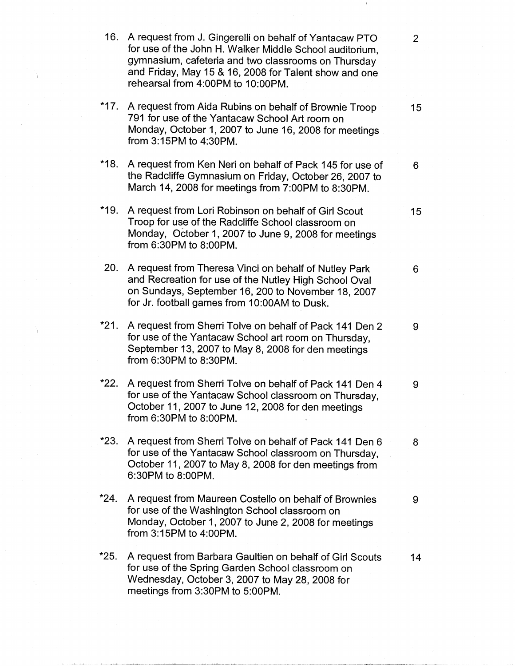**16.** A request from J. Gingerelli on behalf of Yantacaw PTO 2 for use of the John H. Walker Middle School auditorium, gymnasium, cafeteria and two classrooms on Thursday and Friday, May 15 & 16, 2008 for Talent show and one rehearsal from 4:00PM to 10:00PM. **\*17.** A request from Aida Rubins on behalf of Brownie Troop 15 791 for use of the Yantacaw School Art room on Monday, October 1, 2007 to June 16, 2008 for meetings from 3:15PM to 4:30PM. **\*18.** A request from Ken Neri on behalf of Pack 145 for use of 6 the Radcliffe Gymnasium on Friday, October 26, 2007 to March 14, 2008 for meetings from 7:00PM to 8:30PM. \*19. A request from Lori Robinson on behalf of Girl Scout 15 Troop for use of the Radcliffe School classroom on Monday, October 1, 2007 to June 9, 2008 for meetings from 6:30PM to 8:00PM. 20. A request from Theresa Vinci on behalf of Nutley Park 6 and Recreation for use of the Nutley High School Oval on Sundays, September 16, 200 to November 18, 2007 for Jr. football games from 10:00AM to Dusk. **\*21.** A request from Sherri Tolve on behalf of Pack 141 Den 2 9 for use of the Yantacaw School art room on Thursday, September 13, 2007 to May 8, 2008 for den meetings from 6:30PM to 8:30PM. \*22. A request from Sherri Tolve on behalf of Pack 141 Den 4 9 for use of the Yantacaw School classroom on Thursday, October 11, 2007 to June 12, 2008 for den meetings from 6:30PM to 8:00PM. \*23. A request from Sherri Tolve on behalf of Pack 141 Den 6 8 for use of the Yantacaw School classroom on Thursday, October 11, 2007 to May 8, 2008 for den meetings from 6:30PM to 8:00PM. \*24. A request from Maureen Costello on behalf of Brownies 9 for use of the Washington School classroom on Monday, October 1, 2007 to June 2, 2008 for meetings from 3:15PM to 4:00PM. **\*25.** A request from Barbara Gaultien on behalf of Girl Scouts **14**  for use of the Spring Garden School classroom on Wednesday, October 3, 2007 to May 28, 2008 for meetings from 3:30PM to 5:00PM.